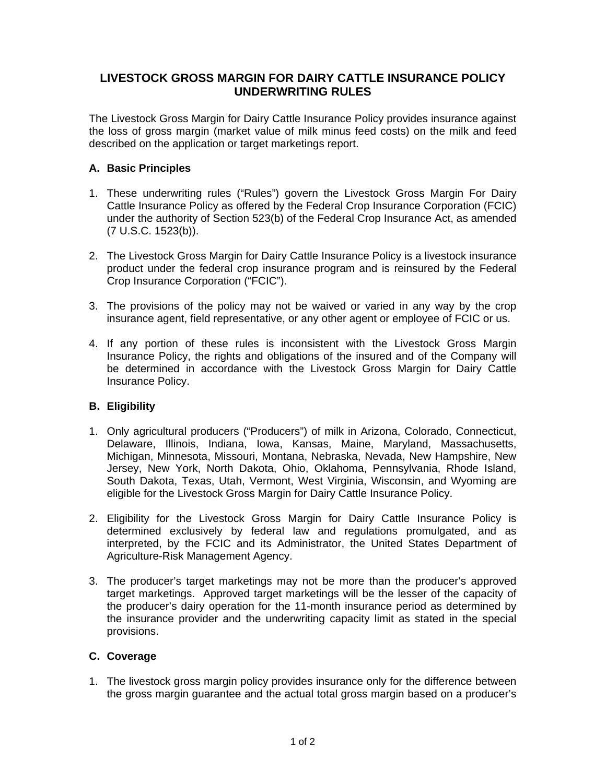## **LIVESTOCK GROSS MARGIN FOR DAIRY CATTLE INSURANCE POLICY UNDERWRITING RULES**

The Livestock Gross Margin for Dairy Cattle Insurance Policy provides insurance against the loss of gross margin (market value of milk minus feed costs) on the milk and feed described on the application or target marketings report.

## **A. Basic Principles**

- 1. These underwriting rules ("Rules") govern the Livestock Gross Margin For Dairy Cattle Insurance Policy as offered by the Federal Crop Insurance Corporation (FCIC) under the authority of Section 523(b) of the Federal Crop Insurance Act, as amended (7 U.S.C. 1523(b)).
- 2. The Livestock Gross Margin for Dairy Cattle Insurance Policy is a livestock insurance product under the federal crop insurance program and is reinsured by the Federal Crop Insurance Corporation ("FCIC").
- 3. The provisions of the policy may not be waived or varied in any way by the crop insurance agent, field representative, or any other agent or employee of FCIC or us.
- 4. If any portion of these rules is inconsistent with the Livestock Gross Margin Insurance Policy, the rights and obligations of the insured and of the Company will be determined in accordance with the Livestock Gross Margin for Dairy Cattle Insurance Policy.

## **B. Eligibility**

- 1. Only agricultural producers ("Producers") of milk in Arizona, Colorado, Connecticut, Delaware, Illinois, Indiana, Iowa, Kansas, Maine, Maryland, Massachusetts, Michigan, Minnesota, Missouri, Montana, Nebraska, Nevada, New Hampshire, New Jersey, New York, North Dakota, Ohio, Oklahoma, Pennsylvania, Rhode Island, South Dakota, Texas, Utah, Vermont, West Virginia, Wisconsin, and Wyoming are eligible for the Livestock Gross Margin for Dairy Cattle Insurance Policy.
- 2. Eligibility for the Livestock Gross Margin for Dairy Cattle Insurance Policy is determined exclusively by federal law and regulations promulgated, and as interpreted, by the FCIC and its Administrator, the United States Department of Agriculture-Risk Management Agency.
- 3. The producer's target marketings may not be more than the producer's approved target marketings. Approved target marketings will be the lesser of the capacity of the producer's dairy operation for the 11-month insurance period as determined by the insurance provider and the underwriting capacity limit as stated in the special provisions.

## **C. Coverage**

1. The livestock gross margin policy provides insurance only for the difference between the gross margin guarantee and the actual total gross margin based on a producer's